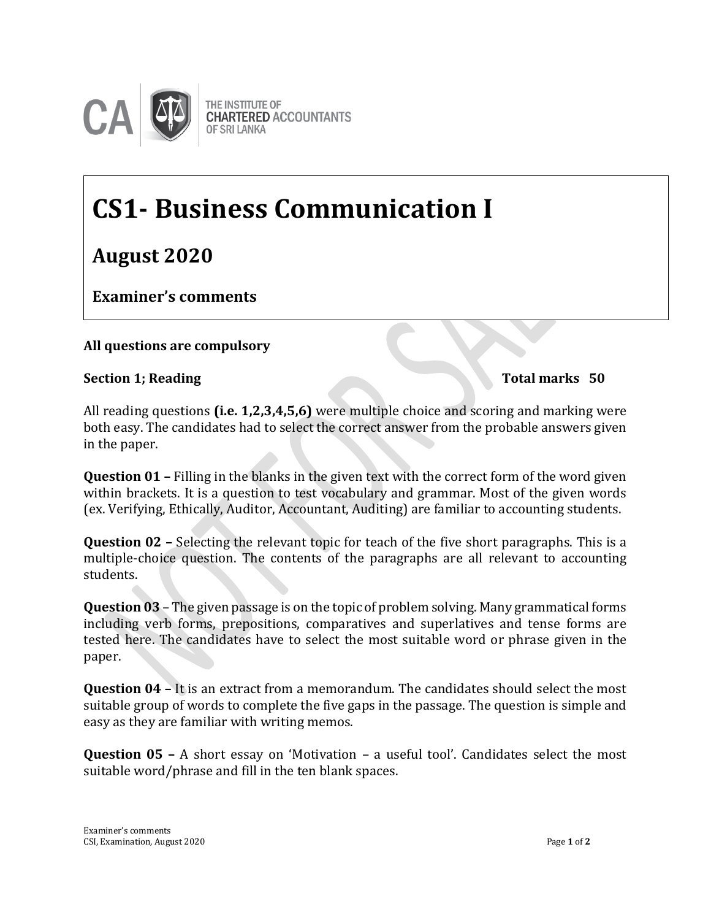

# **CS1- Business Communication I**

**August 2020**

**Examiner's comments**

# **All questions are compulsory**

## **Section 1; Reading Total marks 50 Examiner's Comments**

All reading questions **(i.e. 1,2,3,4,5,6)** were multiple choice and scoring and marking were both easy. The candidates had to select the correct answer from the probable answers given in the paper.

**Question 01 –** Filling in the blanks in the given text with the correct form of the word given within brackets. It is a question to test vocabulary and grammar. Most of the given words (ex. Verifying, Ethically, Auditor, Accountant, Auditing) are familiar to accounting students.

**Question 02 –** Selecting the relevant topic for teach of the five short paragraphs. This is a multiple-choice question. The contents of the paragraphs are all relevant to accounting students.

**Question 03** – The given passage is on the topic of problem solving. Many grammatical forms including verb forms, prepositions, comparatives and superlatives and tense forms are tested here. The candidates have to select the most suitable word or phrase given in the paper.

**Question 04 –** It is an extract from a memorandum. The candidates should select the most suitable group of words to complete the five gaps in the passage. The question is simple and easy as they are familiar with writing memos.

**Question 05 –** A short essay on 'Motivation – a useful tool'. Candidates select the most suitable word/phrase and fill in the ten blank spaces.